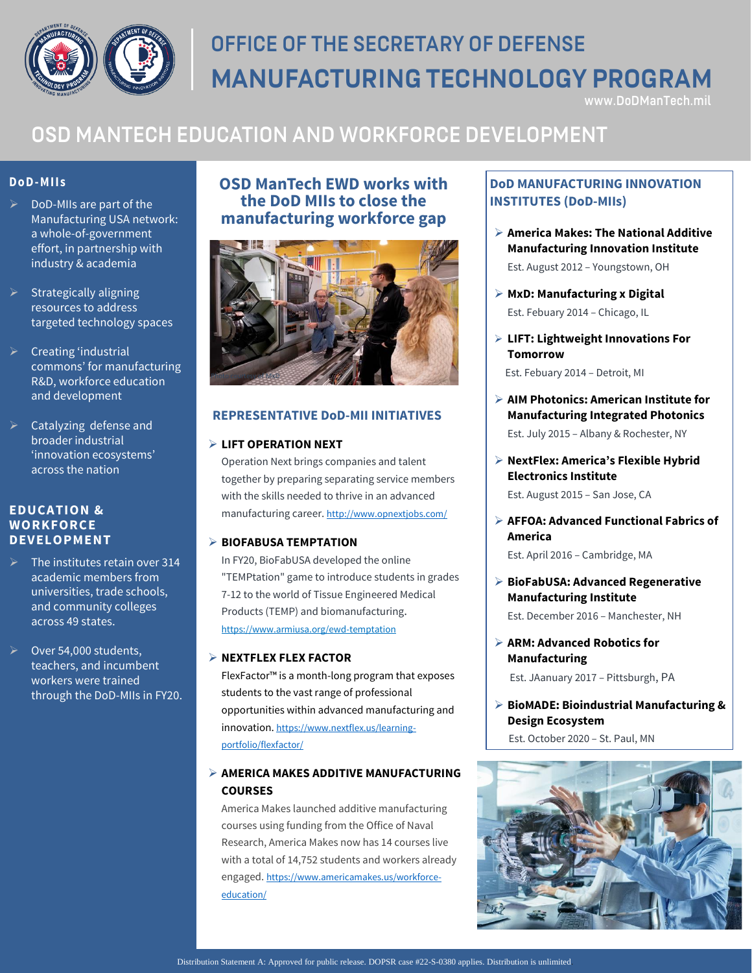

# OFFICE OF THE SECRETARY OF DEFENSE **MANUFACTURING TECHNOLOGY PROGRAM**

www.DoDManTech.mil

# OSD MANTECH EDUCATION AND WORKFORCE DEVELOPMENT

### **Do D-M IIs**

- $\triangleright$  DoD-MIIs are part of the Manufacturing USA network: a whole-of-government effort, in partnership with industry & academia
- $\triangleright$  Strategically aligning resources to address targeted technology spaces
- $\triangleright$  Creating 'industrial commons' for manufacturing R&D, workforce education and development
- Catalyzing defense and broader industrial 'innovation ecosystems' across the nation

### **EDUCATION & WORKFORCE DEVELOPMENT**

- The institutes retain over 314 academic members from universities, trade schools, and community colleges across 49 states.
- Over 54,000 students, teachers, and incumbent workers were trained through the DoD-MIIs in FY20.

## **OSD ManTech EWD works with the DoD MIIs to close the manufacturing workforce gap**



### **REPRESENTATIVE DoD-MII INITIATIVES**

### **LIFT OPERATION NEXT**

Operation Next brings companies and talent together by preparing separating service members with the skills needed to thrive in an advanced manufacturing career. <http://www.opnextjobs.com/>

### **BIOFABUSA TEMPTATION**

In FY20, BioFabUSA developed the online "TEMPtation" game to introduce students in grades 7-12 to the world of Tissue Engineered Medical Products (TEMP) and biomanufacturing. https://www.armiusa.org/ewd-temptation

### **NEXTFLEX FLEX FACTOR**

FlexFactor™ is a month-long program that exposes students to the vast range of professional opportunities within advanced manufacturing and innovation. [https://www.nextflex.us/learning](https://www.nextflex.us/learning-portfolio/flexfactor/)[portfolio/flexfactor/](https://www.nextflex.us/learning-portfolio/flexfactor/)

### **AMERICA MAKES ADDITIVE MANUFACTURING COURSES**

America Makes launched additive manufacturing courses using funding from the Office of Naval Research, America Makes now has 14 courses live with a total of 14,752 students and workers already engaged. [https://www.americamakes.us/workforce](https://www.americamakes.us/workforce-education/)[education/](https://www.americamakes.us/workforce-education/)

### **DoD MANUFACTURING INNOVATION INSTITUTES (DoD-MIIs)**

- **America Makes: The National Additive Manufacturing Innovation Institute** Est. August 2012 – Youngstown, OH
- **MxD: Manufacturing x Digital** Est. Febuary 2014 – Chicago, IL
- **LIFT: Lightweight Innovations For Tomorrow**
	- Est. Febuary 2014 Detroit, MI
- **AIM Photonics: American Institute for Manufacturing Integrated Photonics** Est. July 2015 – Albany & Rochester, NY
- **NextFlex: America's Flexible Hybrid Electronics Institute**

Est. August 2015 – San Jose, CA

- **AFFOA: Advanced Functional Fabrics of America**  Est. April 2016 – Cambridge, MA
- **BioFabUSA: Advanced Regenerative Manufacturing Institute**

Est. December 2016 – Manchester, NH

 **ARM: Advanced Robotics for Manufacturing**

Est. JAanuary 2017 – Pittsburgh, PA

 **BioMADE: Bioindustrial Manufacturing & Design Ecosystem**